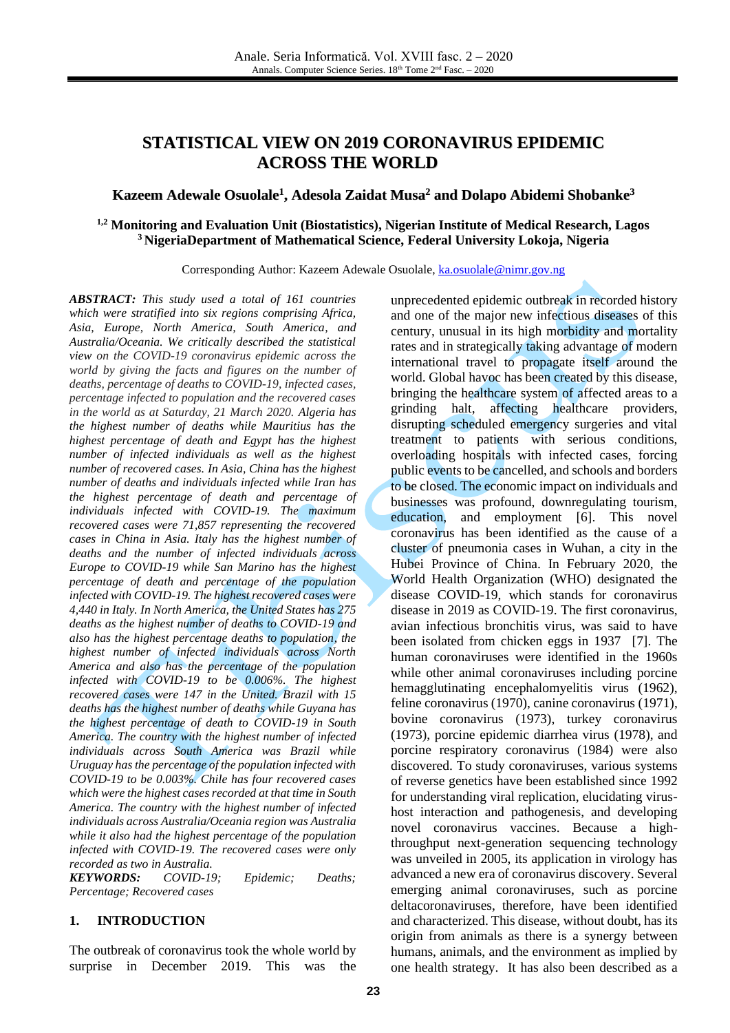# **STATISTICAL VIEW ON 2019 CORONAVIRUS EPIDEMIC ACROSS THE WORLD**

## **Kazeem Adewale Osuolale 1 , Adesola Zaidat Musa <sup>2</sup> and Dolapo Abidemi Shobanke 3**

#### **1,2 Monitoring and Evaluation Unit (Biostatistics), Nigerian Institute of Medical Research, Lagos <sup>3</sup> NigeriaDepartment of Mathematical Science, Federal University Lokoja, Nigeria**

Corresponding Author: Kazeem Adewale Osuolale, [ka.osuolale@nimr.gov.ng](mailto:ka.osuolale@nimr.gov.ng)

*ABSTRACT: This study used a total of 161 countries which were stratified into six regions comprising Africa, Asia, Europe, North America, South America, and Australia/Oceania. We critically described the statistical view on the COVID-19 coronavirus epidemic across the world by giving the facts and figures on the number of deaths, percentage of deaths to COVID-19, infected cases, percentage infected to population and the recovered cases in the world as at Saturday, 21 March 2020. Algeria has the highest number of deaths while Mauritius has the highest percentage of death and Egypt has the highest number of infected individuals as well as the highest number of recovered cases. In Asia, China has the highest number of deaths and individuals infected while Iran has the highest percentage of death and percentage of individuals infected with COVID-19. The maximum recovered cases were 71,857 representing the recovered cases in China in Asia. Italy has the highest number of deaths and the number of infected individuals across Europe to COVID-19 while San Marino has the highest percentage of death and percentage of the population infected with COVID-19. The highest recovered cases were 4,440 in Italy. In North America, the United States has 275 deaths as the highest number of deaths to COVID-19 and also has the highest percentage deaths to population, the highest number of infected individuals across North America and also has the percentage of the population infected with COVID-19 to be 0.006%. The highest recovered cases were 147 in the United. Brazil with 15 deaths has the highest number of deaths while Guyana has the highest percentage of death to COVID-19 in South America. The country with the highest number of infected individuals across South America was Brazil while Uruguay has the percentage of the population infected with COVID-19 to be 0.003%. Chile has four recovered cases which were the highest cases recorded at that time in South America. The country with the highest number of infected individuals across Australia/Oceania region was Australia while it also had the highest percentage of the population infected with COVID-19. The recovered cases were only recorded as two in Australia.* 

*KEYWORDS: COVID-19; Epidemic; Deaths; Percentage; Recovered cases*

#### **1. INTRODUCTION**

The outbreak of coronavirus took the whole world by surprise in December 2019. This was the

unprecedented epidemic outbreak in recorded history and one of the major new infectious diseases of this century, unusual in its high morbidity and mortality rates and in strategically taking advantage of modern international travel to propagate itself around the world. Global havoc has been created by this disease, bringing the healthcare system of affected areas to a grinding halt, affecting healthcare providers, disrupting scheduled emergency surgeries and vital treatment to patients with serious conditions, overloading hospitals with infected cases, forcing public events to be cancelled, and schools and borders to be closed. The economic impact on individuals and businesses was profound, downregulating tourism, education, and employment [\[6\].](#page-8-0) This novel coronavirus has been identified as the cause of a cluster of pneumonia cases in Wuhan, a city in the Hubei Province of China. In February 2020, the World Health Organization (WHO) designated the disease COVID-19, which stands for coronavirus disease in 2019 as COVID-19. The first coronavirus, avian infectious bronchitis virus, was said to have been isolated from chicken eggs in 1937 [\[7\].](#page-8-1) The human coronaviruses were identified in the 1960s while other animal coronaviruses including porcine hemagglutinating encephalomyelitis virus (1962), feline coronavirus (1970), canine coronavirus (1971), bovine coronavirus (1973), turkey coronavirus (1973), porcine epidemic diarrhea virus (1978), and porcine respiratory coronavirus (1984) were also discovered. To study coronaviruses, various systems of reverse genetics have been established since 1992 for understanding viral replication, elucidating virushost interaction and pathogenesis, and developing novel coronavirus vaccines. Because a highthroughput next-generation sequencing technology was unveiled in 2005, its application in virology has advanced a new era of coronavirus discovery. Several emerging animal coronaviruses, such as porcine deltacoronaviruses, therefore, have been identified and characterized. This disease, without doubt, has its origin from animals as there is a synergy between humans, animals, and the environment as implied by one health strategy. It has also been described as a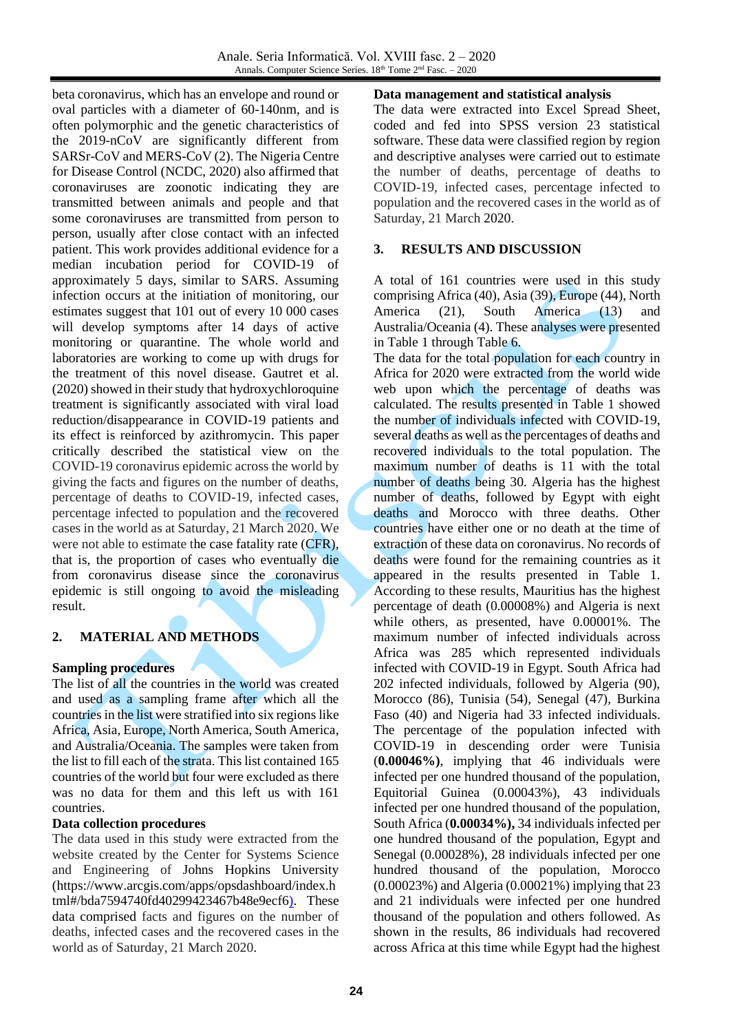beta coronavirus, which has an envelope and round or oval particles with a diameter of 60-140nm, and is often polymorphic and the genetic characteristics of the 2019-nCoV are significantly different from SARSr-CoV and MERS-CoV (2). The Nigeria Centre for Disease Control (NCDC, 2020) also affirmed that coronaviruses are zoonotic indicating they are transmitted between animals and people and that some coronaviruses are transmitted from person to person, usually after close contact with an infected patient. This work provides additional evidence for a median incubation period for COVID-19 of approximately 5 days, similar to SARS. Assuming infection occurs at the initiation of monitoring, our estimates suggest that 101 out of every 10 000 cases will develop symptoms after 14 days of active monitoring or quarantine. The whole world and laboratories are working to come up with drugs for the treatment of this novel disease. Gautret et al. (2020) showed in their study that hydroxychloroquine treatment is significantly associated with viral load reduction/disappearance in COVID-19 patients and its effect is reinforced by azithromycin. This paper critically described the statistical view on the COVID-19 coronavirus epidemic across the world by giving the facts and figures on the number of deaths, percentage of deaths to COVID-19, infected cases, percentage infected to population and the recovered cases in the world as at Saturday, 21 March 2020. We were not able to estimate the case fatality rate (CFR), that is, the proportion of cases who eventually die from coronavirus disease since the coronavirus epidemic is still ongoing to avoid the misleading result.

# **2. MATERIAL AND METHODS**

#### **Sampling procedures**

The list of all the countries in the world was created and used as a sampling frame after which all the countries in the list were stratified into six regions like Africa, Asia, Europe, North America, South America, and Australia/Oceania. The samples were taken from the list to fill each of the strata. This list contained 165 countries of the world but four were excluded as there was no data for them and this left us with 161 countries.

#### **Data collection procedures**

The data used in this study were extracted from the website created by the Center for Systems Science and Engineering of Johns Hopkins University (https://www.arcgis.com/apps/opsdashboard/index.h tml#/bda7594740fd40299423467b48e9ecf6). These data comprised facts and figures on the number of deaths, infected cases and the recovered cases in the world as of Saturday, 21 March 2020.

#### **Data management and statistical analysis**

The data were extracted into Excel Spread Sheet, coded and fed into SPSS version 23 statistical software. These data were classified region by region and descriptive analyses were carried out to estimate the number of deaths, percentage of deaths to COVID-19, infected cases, percentage infected to population and the recovered cases in the world as of Saturday, 21 March 2020.

### **3. RESULTS AND DISCUSSION**

A total of 161 countries were used in this study comprising Africa (40), Asia (39), Europe (44), North America (21), South America (13) and Australia/Oceania (4). These analyses were presented in Table 1 through Table 6.

The data for the total population for each country in Africa for 2020 were extracted from the world wide web upon which the percentage of deaths was calculated. The results presented in Table 1 showed the number of individuals infected with COVID-19, several deaths as well as the percentages of deaths and recovered individuals to the total population. The maximum number of deaths is 11 with the total number of deaths being 30. Algeria has the highest number of deaths, followed by Egypt with eight deaths and Morocco with three deaths. Other countries have either one or no death at the time of extraction of these data on coronavirus. No records of deaths were found for the remaining countries as it appeared in the results presented in Table 1. According to these results, Mauritius has the highest percentage of death (0.00008%) and Algeria is next while others, as presented, have 0.00001%. The maximum number of infected individuals across Africa was 285 which represented individuals infected with COVID-19 in Egypt. South Africa had 202 infected individuals, followed by Algeria (90), Morocco (86), Tunisia (54), Senegal (47), Burkina Faso (40) and Nigeria had 33 infected individuals. The percentage of the population infected with COVID-19 in descending order were Tunisia (**0.00046%)**, implying that 46 individuals were infected per one hundred thousand of the population, Equitorial Guinea (0.00043%), 43 individuals infected per one hundred thousand of the population, South Africa (**0.00034%),** 34 individuals infected per one hundred thousand of the population, Egypt and Senegal (0.00028%), 28 individuals infected per one hundred thousand of the population, Morocco (0.00023%) and Algeria (0.00021%) implying that 23 and 21 individuals were infected per one hundred thousand of the population and others followed. As shown in the results, 86 individuals had recovered across Africa at this time while Egypt had the highest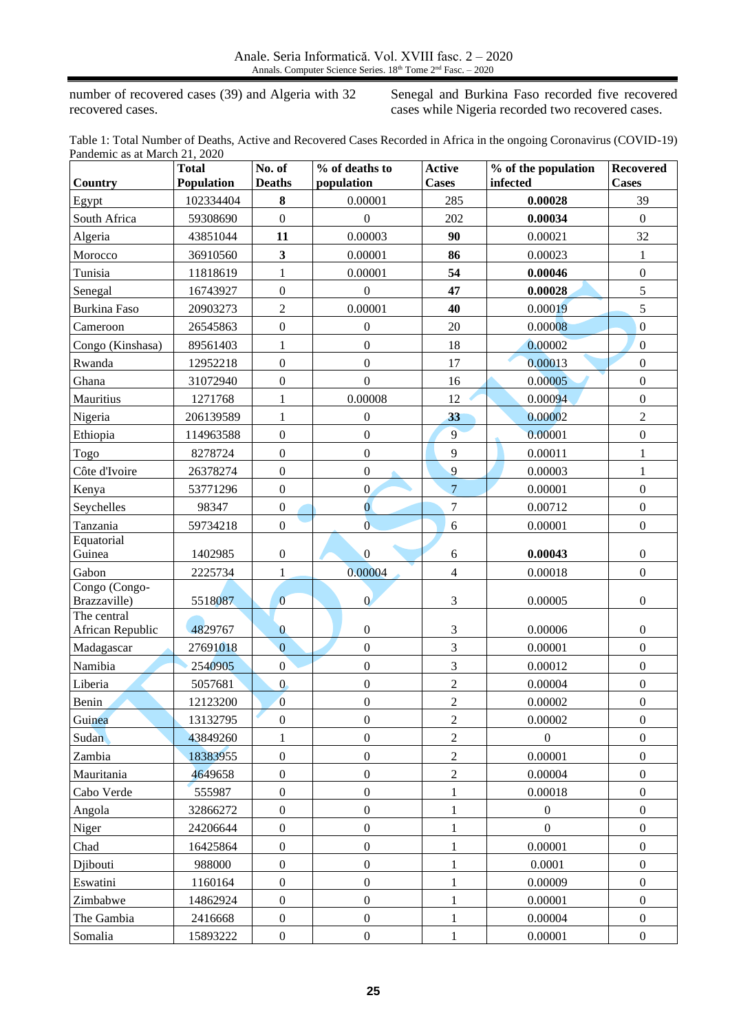number of recovered cases (39) and Algeria with 32 recovered cases.

Senegal and Burkina Faso recorded five recovered cases while Nigeria recorded two recovered cases.

Table 1: Total Number of Deaths, Active and Recovered Cases Recorded in Africa in the ongoing Coronavirus (COVID-19) Pandemic as at March 21, 2020

|                             | <b>Total</b><br>Population | No. of<br><b>Deaths</b> | % of deaths to<br>population | <b>Active</b><br><b>Cases</b> | % of the population<br>infected | <b>Recovered</b><br><b>Cases</b> |
|-----------------------------|----------------------------|-------------------------|------------------------------|-------------------------------|---------------------------------|----------------------------------|
| Country                     |                            |                         |                              |                               |                                 |                                  |
| Egypt                       | 102334404                  | 8                       | 0.00001                      | 285                           | 0.00028                         | 39                               |
| South Africa                | 59308690                   | $\boldsymbol{0}$        | $\boldsymbol{0}$             | 202                           | 0.00034                         | $\boldsymbol{0}$                 |
| Algeria                     | 43851044                   | 11                      | 0.00003                      | 90                            | 0.00021                         | 32                               |
| Morocco                     | 36910560                   | $\mathbf{3}$            | 0.00001                      | 86                            | 0.00023                         | $\mathbf{1}$                     |
| Tunisia                     | 11818619                   | $\mathbf{1}$            | 0.00001                      | 54                            | 0.00046                         | $\boldsymbol{0}$                 |
| Senegal                     | 16743927                   | $\boldsymbol{0}$        | $\boldsymbol{0}$             | 47                            | 0.00028                         | $\sqrt{5}$                       |
| Burkina Faso                | 20903273                   | $\boldsymbol{2}$        | 0.00001                      | 40                            | 0.00019                         | 5                                |
| Cameroon                    | 26545863                   | $\boldsymbol{0}$        | $\boldsymbol{0}$             | 20                            | 0.00008                         | $\boldsymbol{0}$                 |
| Congo (Kinshasa)            | 89561403                   | $\mathbf{1}$            | $\mathbf{0}$                 | 18                            | 0.00002                         | $\overline{0}$                   |
| Rwanda                      | 12952218                   | $\boldsymbol{0}$        | $\mathbf{0}$                 | 17                            | 0.00013                         | $\boldsymbol{0}$                 |
| Ghana                       | 31072940                   | $\boldsymbol{0}$        | $\mathbf{0}$                 | 16                            | 0.00005                         | $\boldsymbol{0}$                 |
| Mauritius                   | 1271768                    | $\mathbf{1}$            | 0.00008                      | 12                            | 0.00094                         | $\boldsymbol{0}$                 |
| Nigeria                     | 206139589                  | $\mathbf{1}$            | $\boldsymbol{0}$             | 33                            | 0.00002                         | $\sqrt{2}$                       |
| Ethiopia                    | 114963588                  | $\boldsymbol{0}$        | $\boldsymbol{0}$             | 9                             | 0.00001                         | $\boldsymbol{0}$                 |
| Togo                        | 8278724                    | $\boldsymbol{0}$        | $\boldsymbol{0}$             | 9                             | 0.00011                         | $\,1$                            |
| Côte d'Ivoire               | 26378274                   | $\boldsymbol{0}$        | $\boldsymbol{0}$             | 9                             | 0.00003                         | $\,1$                            |
| Kenya                       | 53771296                   | $\boldsymbol{0}$        | $\overline{0}$               | $\overline{7}$                | 0.00001                         | $\boldsymbol{0}$                 |
| Seychelles                  | 98347                      | $\boldsymbol{0}$        | $\overline{0}$               | $\overline{7}$                | 0.00712                         | $\boldsymbol{0}$                 |
| Tanzania                    | 59734218                   | $\boldsymbol{0}$        | $\mathbf{0}$                 | 6                             | 0.00001                         | $\boldsymbol{0}$                 |
| Equatorial<br>Guinea        | 1402985                    | $\boldsymbol{0}$        | $\overline{0}$               | 6                             | 0.00043                         | $\boldsymbol{0}$                 |
| Gabon                       | 2225734                    | $\mathbf{1}$            | 0.00004                      | $\overline{4}$                | 0.00018                         | $\boldsymbol{0}$                 |
| Congo (Congo-               |                            |                         |                              |                               |                                 |                                  |
| Brazzaville)<br>The central | 5518087                    | $\overline{0}$          | $\overline{0}$               | $\mathfrak{Z}$                | 0.00005                         | $\boldsymbol{0}$                 |
| African Republic            | 4829767                    | $\boldsymbol{0}$        | $\boldsymbol{0}$             | 3                             | 0.00006                         | $\boldsymbol{0}$                 |
| Madagascar                  | 27691018                   | $\overline{0}$          | $\boldsymbol{0}$             | 3                             | 0.00001                         | $\boldsymbol{0}$                 |
| Namibia                     | 2540905                    | $\boldsymbol{0}$        | $\boldsymbol{0}$             | $\overline{3}$                | 0.00012                         | $\boldsymbol{0}$                 |
| Liberia                     | 5057681                    | $\overline{0}$          | $\mathbf{0}$                 | $\overline{2}$                | 0.00004                         | $\boldsymbol{0}$                 |
| Benin                       | 12123200                   | $\boldsymbol{0}$        | $\boldsymbol{0}$             | $\overline{2}$                | 0.00002                         | $\boldsymbol{0}$                 |
| Guinea                      | 13132795                   | $\boldsymbol{0}$        | $\boldsymbol{0}$             | $\overline{2}$                | 0.00002                         | $\boldsymbol{0}$                 |
| Sudan                       | 43849260                   | 1                       | $\boldsymbol{0}$             | $\overline{2}$                | $\theta$                        | $\mathbf{0}$                     |
| Zambia                      | 18383955                   | $\boldsymbol{0}$        | $\boldsymbol{0}$             | $\overline{2}$                | 0.00001                         | $\boldsymbol{0}$                 |
| Mauritania                  | 4649658                    | $\boldsymbol{0}$        | $\boldsymbol{0}$             | $\overline{c}$                | 0.00004                         | $\boldsymbol{0}$                 |
| Cabo Verde                  | 555987                     | $\boldsymbol{0}$        | $\boldsymbol{0}$             | 1                             | 0.00018                         | $\boldsymbol{0}$                 |
| Angola                      | 32866272                   | $\boldsymbol{0}$        | $\boldsymbol{0}$             | 1                             | $\theta$                        | $\boldsymbol{0}$                 |
| Niger                       | 24206644                   | $\boldsymbol{0}$        | $\boldsymbol{0}$             | 1                             | $\overline{0}$                  | $\boldsymbol{0}$                 |
| Chad                        | 16425864                   | $\boldsymbol{0}$        | $\boldsymbol{0}$             | $\mathbf{1}$                  | 0.00001                         | $\boldsymbol{0}$                 |
| Djibouti                    | 988000                     | $\boldsymbol{0}$        | $\boldsymbol{0}$             | 1                             | 0.0001                          | $\boldsymbol{0}$                 |
| Eswatini                    | 1160164                    | $\boldsymbol{0}$        | $\boldsymbol{0}$             | 1                             | 0.00009                         | $\boldsymbol{0}$                 |
| Zimbabwe                    | 14862924                   | $\boldsymbol{0}$        | $\boldsymbol{0}$             | $\mathbf{1}$                  | 0.00001                         | $\boldsymbol{0}$                 |
| The Gambia                  | 2416668                    | $\boldsymbol{0}$        | $\boldsymbol{0}$             | 1                             | 0.00004                         | $\boldsymbol{0}$                 |
| Somalia                     | 15893222                   | $\boldsymbol{0}$        | $\boldsymbol{0}$             | $\mathbf{1}$                  | 0.00001                         | $\boldsymbol{0}$                 |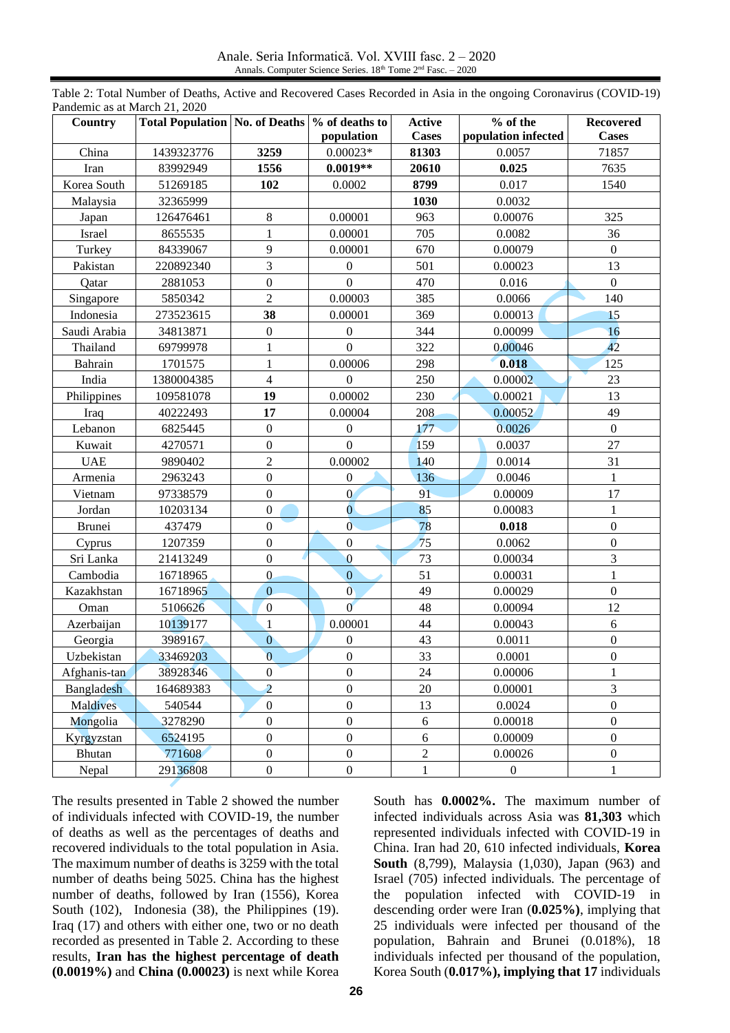Anale. Seria Informatică. Vol. XVIII fasc. 2 – 2020 Annals. Computer Science Series. 18<sup>th</sup> Tome 2<sup>nd</sup> Fasc. – 2020

| Country           | Total Population   No. of Deaths   % of deaths to |                  |                  | <b>Active</b> | % of the            | <b>Recovered</b> |
|-------------------|---------------------------------------------------|------------------|------------------|---------------|---------------------|------------------|
|                   |                                                   |                  | population       | <b>Cases</b>  | population infected | <b>Cases</b>     |
| China             | 1439323776                                        | 3259             | $0.00023*$       | 81303         | 0.0057              | 71857            |
| Iran              | 83992949                                          | 1556             | $0.0019**$       | 20610         | 0.025               | 7635             |
| Korea South       | 51269185                                          | 102              | 0.0002           | 8799          | 0.017               | 1540             |
| Malaysia          | 32365999                                          |                  |                  | 1030          | 0.0032              |                  |
| Japan             | 126476461                                         | $\,8\,$          | 0.00001          | 963           | 0.00076             | 325              |
| Israel            | 8655535                                           | $\mathbf{1}$     | 0.00001          | 705           | 0.0082              | 36               |
| Turkey            | 84339067                                          | 9                | 0.00001          | 670           | 0.00079             | $\overline{0}$   |
| Pakistan          | 220892340                                         | 3                | $\boldsymbol{0}$ | 501           | 0.00023             | 13               |
| Qatar             | 2881053                                           | $\mathbf{0}$     | $\boldsymbol{0}$ | 470           | 0.016               | $\mathbf{0}$     |
| Singapore         | 5850342                                           | $\overline{2}$   | 0.00003          | 385           | 0.0066              | 140              |
| Indonesia         | 273523615                                         | 38               | 0.00001          | 369           | 0.00013             | 15               |
| Saudi Arabia      | 34813871                                          | $\boldsymbol{0}$ | $\Omega$         | 344           | 0.00099             | 16               |
| Thailand          | 69799978                                          | $\mathbf{1}$     | $\mathbf{0}$     | 322           | 0.00046             | 42               |
| Bahrain           | 1701575                                           | $\,1\,$          | 0.00006          | 298           | 0.018               | 125              |
| India             | 1380004385                                        | $\overline{4}$   | $\boldsymbol{0}$ | 250           | 0.00002             | 23               |
| Philippines       | 109581078                                         | 19               | 0.00002          | 230           | 0.00021             | 13               |
| Iraq              | 40222493                                          | 17               | 0.00004          | 208           | 0.00052             | 49               |
| Lebanon           | 6825445                                           | $\mathbf{0}$     | $\boldsymbol{0}$ | 177           | 0.0026              | $\boldsymbol{0}$ |
| Kuwait            | 4270571                                           | $\boldsymbol{0}$ | $\mathbf{0}$     | 159           | 0.0037              | 27               |
| <b>UAE</b>        | 9890402                                           | $\overline{2}$   | 0.00002          | 140           | 0.0014              | 31               |
| Armenia           | 2963243                                           | $\boldsymbol{0}$ | $\boldsymbol{0}$ | 136           | 0.0046              | $\mathbf{1}$     |
| Vietnam           | 97338579                                          | $\boldsymbol{0}$ | $\overline{0}$   | 91            | 0.00009             | 17               |
| Jordan            | 10203134                                          | $\overline{0}$   | $\overline{0}$   | 85            | 0.00083             | $\mathbf{1}$     |
| <b>Brunei</b>     | 437479                                            | $\boldsymbol{0}$ | $\mathbf{0}$     | 78            | 0.018               | $\boldsymbol{0}$ |
| Cyprus            | 1207359                                           | $\boldsymbol{0}$ | $\boldsymbol{0}$ | 75            | 0.0062              | $\boldsymbol{0}$ |
| Sri Lanka         | 21413249                                          | $\overline{0}$   | $\overline{0}$   | 73            | 0.00034             | 3                |
| Cambodia          | 16718965                                          | $\overline{0}$   | $\overline{0}$   | 51            | 0.00031             | $\mathbf{1}$     |
| Kazakhstan        | 16718965                                          | $\overline{0}$   | $\mathbf{0}$     | 49            | 0.00029             | $\boldsymbol{0}$ |
| Oman              | 5106626                                           | $\overline{0}$   | $\mathbf{0}$     | 48            | 0.00094             | 12               |
| Azerbaijan        | 10139177                                          | $\mathbf{1}$     | 0.00001          | 44            | 0.00043             | 6                |
| Georgia           | 3989167                                           | $\overline{0}$   | $\boldsymbol{0}$ | 43            | 0.0011              | $\boldsymbol{0}$ |
| Uzbekistan        | 33469203                                          | $\overline{0}$   | $\mathbf{0}$     | 33            | 0.0001              | $\overline{0}$   |
| Afghanis-tan      | 38928346                                          | $\boldsymbol{0}$ | $\boldsymbol{0}$ | 24            | 0.00006             | 1                |
| <b>Bangladesh</b> | 164689383                                         | $\overline{2}$   | $\boldsymbol{0}$ | $20\,$        | 0.00001             | 3                |
| <b>Maldives</b>   | 540544                                            | $\boldsymbol{0}$ | $\boldsymbol{0}$ | 13            | 0.0024              | $\boldsymbol{0}$ |
| Mongolia          | 3278290                                           | $\boldsymbol{0}$ | $\boldsymbol{0}$ | $\sqrt{6}$    | 0.00018             | $\boldsymbol{0}$ |
| Kyrgyzstan        | 6524195                                           | $\boldsymbol{0}$ | $\boldsymbol{0}$ | $\sqrt{6}$    | 0.00009             | $\boldsymbol{0}$ |
| Bhutan            | 771608                                            | $\boldsymbol{0}$ | $\boldsymbol{0}$ | $\sqrt{2}$    | 0.00026             | $\boldsymbol{0}$ |
| Nepal             | 29136808                                          | $\boldsymbol{0}$ | $\boldsymbol{0}$ | $\mathbf{1}$  | $\boldsymbol{0}$    | $\mathbf{1}$     |

Table 2: Total Number of Deaths, Active and Recovered Cases Recorded in Asia in the ongoing Coronavirus (COVID-19) Pandemic as at March 21, 2020

The results presented in Table 2 showed the number of individuals infected with COVID-19, the number of deaths as well as the percentages of deaths and recovered individuals to the total population in Asia. The maximum number of deaths is 3259 with the total number of deaths being 5025. China has the highest number of deaths, followed by Iran (1556), Korea South (102), Indonesia (38), the Philippines (19). Iraq (17) and others with either one, two or no death recorded as presented in Table 2. According to these results, **Iran has the highest percentage of death (0.0019%)** and **China (0.00023)** is next while Korea

South has **0.0002%.** The maximum number of infected individuals across Asia was **81,303** which represented individuals infected with COVID-19 in China. Iran had 20, 610 infected individuals, **Korea South** (8,799), Malaysia (1,030), Japan (963) and Israel (705) infected individuals. The percentage of the population infected with COVID-19 in descending order were Iran (**0.025%)**, implying that 25 individuals were infected per thousand of the population, Bahrain and Brunei (0.018%), 18 individuals infected per thousand of the population, Korea South (**0.017%), implying that 17** individuals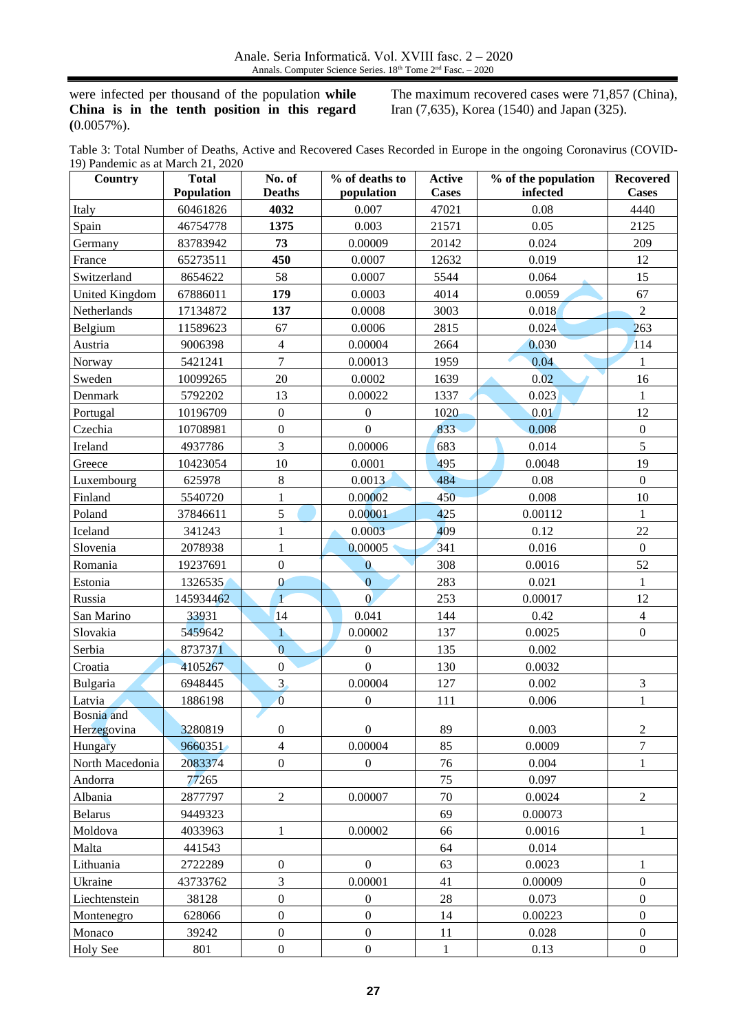were infected per thousand of the population **while China is in the tenth position in this regard (**0.0057%).

The maximum recovered cases were 71,857 (China), Iran (7,635), Korea (1540) and Japan (325).

Table 3: Total Number of Deaths, Active and Recovered Cases Recorded in Europe in the ongoing Coronavirus (COVID-19) Pandemic as at March 21, 2020

| Country         | <b>Total</b> | No. of           | % of deaths to   | Active       | % of the population | <b>Recovered</b> |
|-----------------|--------------|------------------|------------------|--------------|---------------------|------------------|
|                 | Population   | <b>Deaths</b>    | population       | <b>Cases</b> | infected            | <b>Cases</b>     |
| Italy           | 60461826     | 4032             | 0.007            | 47021        | 0.08                | 4440             |
| Spain           | 46754778     | 1375             | 0.003            | 21571        | 0.05                | 2125             |
| Germany         | 83783942     | 73               | 0.00009          | 20142        | 0.024               | 209              |
| France          | 65273511     | 450              | 0.0007           | 12632        | 0.019               | 12               |
| Switzerland     | 8654622      | 58               | 0.0007           | 5544         | 0.064               | 15               |
| United Kingdom  | 67886011     | 179              | 0.0003           | 4014         | 0.0059              | 67               |
| Netherlands     | 17134872     | 137              | 0.0008           | 3003         | 0.018               | $\overline{2}$   |
| Belgium         | 11589623     | 67               | 0.0006           | 2815         | 0.024               | 263              |
| Austria         | 9006398      | $\overline{4}$   | 0.00004          | 2664         | 0.030               | 114              |
| Norway          | 5421241      | $\overline{7}$   | 0.00013          | 1959         | 0.04                | $\mathbf{1}$     |
| Sweden          | 10099265     | 20               | 0.0002           | 1639         | 0.02                | 16               |
| Denmark         | 5792202      | 13               | 0.00022          | 1337         | 0.023               | $\mathbf{1}$     |
| Portugal        | 10196709     | $\boldsymbol{0}$ | $\boldsymbol{0}$ | 1020         | 0.01                | 12               |
| Czechia         | 10708981     | $\boldsymbol{0}$ | $\boldsymbol{0}$ | 833          | 0.008               | $\boldsymbol{0}$ |
| Ireland         | 4937786      | 3                | 0.00006          | 683          | 0.014               | 5                |
| Greece          | 10423054     | $10\,$           | 0.0001           | 495          | 0.0048              | 19               |
| Luxembourg      | 625978       | $8\,$            | 0.0013           | 484          | 0.08                | $\mathbf{0}$     |
| Finland         | 5540720      | $\mathbf{1}$     | 0.00002          | 450          | 0.008               | 10               |
| Poland          | 37846611     | 5                | 0.00001          | 425          | 0.00112             | $\mathbf{1}$     |
| Iceland         | 341243       | $\mathbf{1}$     | 0.0003           | 409          | 0.12                | 22               |
| Slovenia        | 2078938      | $\mathbf{1}$     | 0.00005          | 341          | 0.016               | $\boldsymbol{0}$ |
| Romania         | 19237691     | $\boldsymbol{0}$ | $\mathbf{0}$     | 308          | 0.0016              | 52               |
| Estonia         | 1326535      | $\mathbf{0}$     | $\overline{0}$   | 283          | 0.021               | $\mathbf{1}$     |
| Russia          | 145934462    | $\mathbf{1}$     | $\overline{0}$   | 253          | 0.00017             | 12               |
| San Marino      | 33931        | 14               | 0.041            | 144          | 0.42                | $\overline{4}$   |
| Slovakia        | 5459642      | $\mathbf{1}$     | 0.00002          | 137          | 0.0025              | $\boldsymbol{0}$ |
| Serbia          | 8737371      | $\overline{0}$   | $\overline{0}$   | 135          | 0.002               |                  |
| Croatia         | 4105267      | $\boldsymbol{0}$ | $\boldsymbol{0}$ | 130          | 0.0032              |                  |
| Bulgaria        | 6948445      | 3 <sub>1</sub>   | 0.00004          | 127          | 0.002               | $\mathfrak{Z}$   |
| Latvia          | 1886198      | $\overline{0}$   | $\boldsymbol{0}$ | 111          | 0.006               | $\mathbf 1$      |
| Bosnia and      |              |                  |                  |              |                     |                  |
| Herzegovina     | 3280819      | $\boldsymbol{0}$ | $\boldsymbol{0}$ | 89           | 0.003               | $\sqrt{2}$       |
| Hungary         | 9660351      | $\overline{4}$   | 0.00004          | 85           | 0.0009              | $\overline{7}$   |
| North Macedonia | 2083374      | $\boldsymbol{0}$ | $\overline{0}$   | 76           | 0.004               | $\mathbf{1}$     |
| Andorra         | 77265        |                  |                  | 75           | 0.097               |                  |
| Albania         | 2877797      | $\sqrt{2}$       | 0.00007          | 70           | 0.0024              | $\overline{2}$   |
| <b>Belarus</b>  | 9449323      |                  |                  | 69           | 0.00073             |                  |
| Moldova         | 4033963      | $\mathbf{1}$     | 0.00002          | 66           | 0.0016              | $\mathbf{1}$     |
| Malta           | 441543       |                  |                  | 64           | 0.014               |                  |
| Lithuania       | 2722289      | $\boldsymbol{0}$ | $\boldsymbol{0}$ | 63           | 0.0023              | $\mathbf{1}$     |
| Ukraine         | 43733762     | 3                | 0.00001          | 41           | 0.00009             | $\boldsymbol{0}$ |
| Liechtenstein   | 38128        | $\boldsymbol{0}$ | $\boldsymbol{0}$ | 28           | 0.073               | $\boldsymbol{0}$ |
| Montenegro      | 628066       | $\boldsymbol{0}$ | $\boldsymbol{0}$ | 14           | 0.00223             | $\boldsymbol{0}$ |
| Monaco          | 39242        | $\boldsymbol{0}$ | $\boldsymbol{0}$ | 11           | 0.028               | $\boldsymbol{0}$ |
| <b>Holy See</b> | 801          | $\boldsymbol{0}$ | $\boldsymbol{0}$ | $\mathbf{1}$ | 0.13                | $\boldsymbol{0}$ |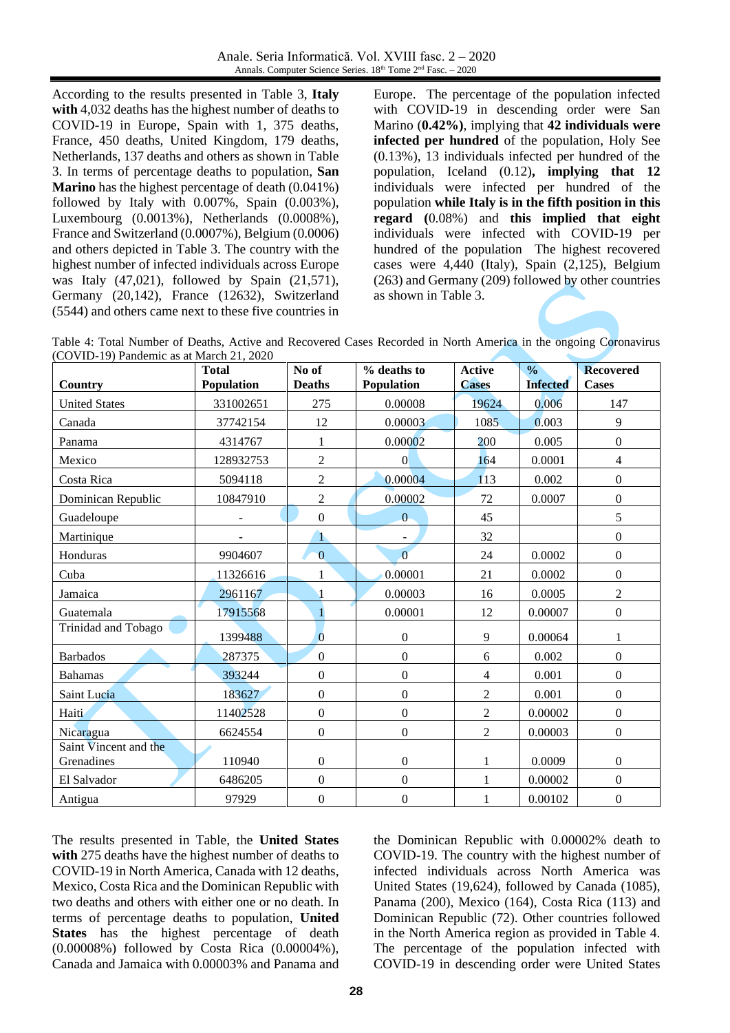According to the results presented in Table 3, **Italy with** 4,032 deaths has the highest number of deaths to COVID-19 in Europe, Spain with 1, 375 deaths, France, 450 deaths, United Kingdom, 179 deaths, Netherlands, 137 deaths and others as shown in Table 3. In terms of percentage deaths to population, **San Marino** has the highest percentage of death (0.041%) followed by Italy with 0.007%, Spain (0.003%), Luxembourg (0.0013%), Netherlands (0.0008%), France and Switzerland (0.0007%), Belgium (0.0006) and others depicted in Table 3. The country with the highest number of infected individuals across Europe was Italy (47,021), followed by Spain (21,571), Germany (20,142), France (12632), Switzerland (5544) and others came next to these five countries in Europe. The percentage of the population infected with COVID-19 in descending order were San Marino (**0.42%)**, implying that **42 individuals were infected per hundred** of the population, Holy See (0.13%), 13 individuals infected per hundred of the population, Iceland (0.12)**, implying that 12** individuals were infected per hundred of the population **while Italy is in the fifth position in this regard (**0.08%) and **this implied that eight**  individuals were infected with COVID-19 per hundred of the population The highest recovered cases were 4,440 (Italy), Spain (2,125), Belgium (263) and Germany (209) followed by other countries as shown in Table 3.

| Table 4: Total Number of Deaths, Active and Recovered Cases Recorded in North America in the ongoing Coronavirus |  |  |  |  |  |  |
|------------------------------------------------------------------------------------------------------------------|--|--|--|--|--|--|
| (COVID-19) Pandemic as at March 21, 2020                                                                         |  |  |  |  |  |  |

| $\sim$ 0 $\mu$ HD-12) T and cline as at iveral 21, 2020 |              |                  |                   |                |                 |                  |
|---------------------------------------------------------|--------------|------------------|-------------------|----------------|-----------------|------------------|
|                                                         | <b>Total</b> | No of            | % deaths to       | <b>Active</b>  | $\frac{0}{0}$   | <b>Recovered</b> |
| Country                                                 | Population   | <b>Deaths</b>    | <b>Population</b> | <b>Cases</b>   | <b>Infected</b> | <b>Cases</b>     |
| <b>United States</b>                                    | 331002651    | 275              | 0.00008           | 19624          | 0.006           | 147              |
| Canada                                                  | 37742154     | 12               | 0.00003           | 1085           | 0.003           | 9                |
| Panama                                                  | 4314767      | 1                | 0.00002           | 200            | 0.005           | $\overline{0}$   |
| Mexico                                                  | 128932753    | $\overline{2}$   | $\overline{0}$    | 164            | 0.0001          | $\overline{4}$   |
| Costa Rica                                              | 5094118      | $\overline{2}$   | 0.00004           | 113            | 0.002           | $\overline{0}$   |
| Dominican Republic                                      | 10847910     | $\overline{2}$   | 0.00002           | 72             | 0.0007          | $\overline{0}$   |
| Guadeloupe                                              |              | $\boldsymbol{0}$ | $\overline{0}$    | 45             |                 | 5                |
| Martinique                                              |              | $\mathbf{1}$     |                   | 32             |                 | $\boldsymbol{0}$ |
| Honduras                                                | 9904607      | $\overline{0}$   | $\overline{0}$    | 24             | 0.0002          | $\overline{0}$   |
| Cuba                                                    | 11326616     | 1                | 0.00001           | 21             | 0.0002          | $\boldsymbol{0}$ |
| Jamaica                                                 | 2961167      |                  | 0.00003           | 16             | 0.0005          | $\overline{2}$   |
| Guatemala                                               | 17915568     | $\mathbf{1}$     | 0.00001           | 12             | 0.00007         | $\boldsymbol{0}$ |
| Trinidad and Tobago                                     | 1399488      | $\overline{0}$   | $\mathbf{0}$      | 9              | 0.00064         | $\mathbf{1}$     |
| <b>Barbados</b>                                         | 287375       | $\boldsymbol{0}$ | $\mathbf{0}$      | 6              | 0.002           | $\boldsymbol{0}$ |
| <b>Bahamas</b>                                          | 393244       | $\boldsymbol{0}$ | $\mathbf{0}$      | 4              | 0.001           | $\boldsymbol{0}$ |
| Saint Lucia                                             | 183627       | $\boldsymbol{0}$ | $\mathbf{0}$      | $\overline{2}$ | 0.001           | $\overline{0}$   |
| Haiti                                                   | 11402528     | $\mathbf{0}$     | $\boldsymbol{0}$  | $\overline{2}$ | 0.00002         | $\overline{0}$   |
| Nicaragua                                               | 6624554      | $\overline{0}$   | $\overline{0}$    | $\overline{2}$ | 0.00003         | $\overline{0}$   |
| Saint Vincent and the                                   |              |                  |                   |                |                 |                  |
| Grenadines                                              | 110940       | $\boldsymbol{0}$ | $\boldsymbol{0}$  | 1              | 0.0009          | $\overline{0}$   |
| El Salvador                                             | 6486205      | $\overline{0}$   | $\overline{0}$    | 1              | 0.00002         | $\overline{0}$   |
| Antigua                                                 | 97929        | $\boldsymbol{0}$ | $\boldsymbol{0}$  | 1              | 0.00102         | $\boldsymbol{0}$ |

The results presented in Table, the **United States with** 275 deaths have the highest number of deaths to COVID-19 in North America, Canada with 12 deaths, Mexico, Costa Rica and the Dominican Republic with two deaths and others with either one or no death. In terms of percentage deaths to population, **United States** has the highest percentage of death (0.00008%) followed by Costa Rica (0.00004%), Canada and Jamaica with 0.00003% and Panama and the Dominican Republic with 0.00002% death to COVID-19. The country with the highest number of infected individuals across North America was United States (19,624), followed by Canada (1085), Panama (200), Mexico (164), Costa Rica (113) and Dominican Republic (72). Other countries followed in the North America region as provided in Table 4. The percentage of the population infected with COVID-19 in descending order were United States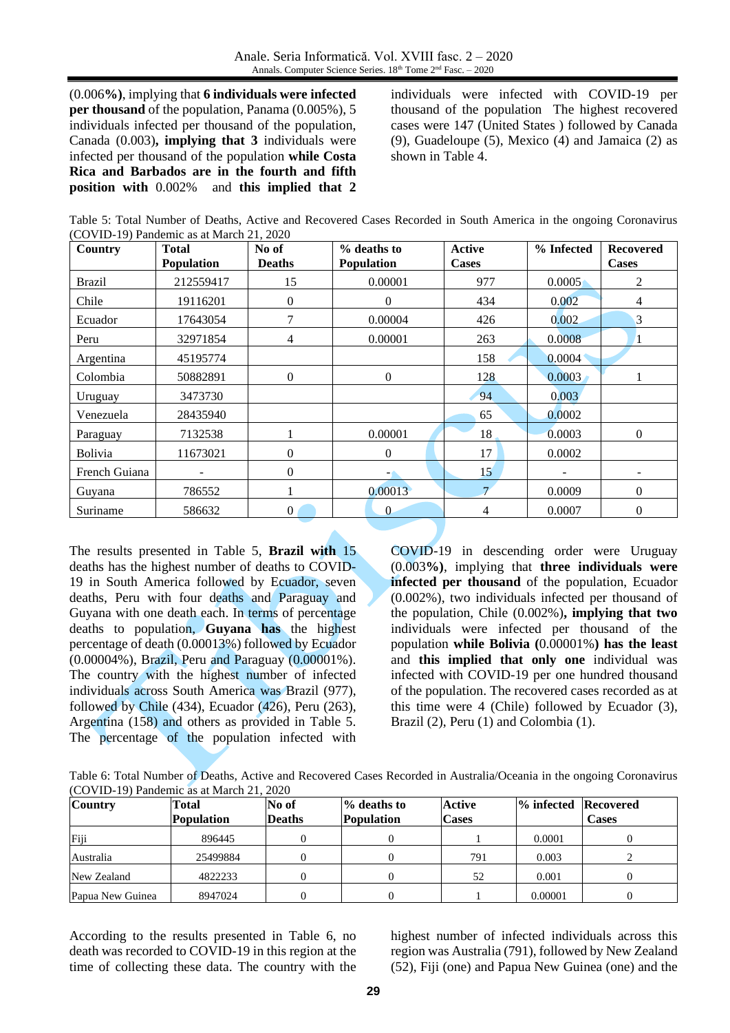(0.006**%)**, implying that **6 individuals were infected per thousand** of the population, Panama (0.005%), 5 individuals infected per thousand of the population, Canada (0.003)**, implying that 3** individuals were infected per thousand of the population **while Costa Rica and Barbados are in the fourth and fifth position with** 0.002% and **this implied that 2**

individuals were infected with COVID-19 per thousand of the population The highest recovered cases were 147 (United States ) followed by Canada (9), Guadeloupe (5), Mexico (4) and Jamaica (2) as shown in Table 4.

| Table 5: Total Number of Deaths, Active and Recovered Cases Recorded in South America in the ongoing Coronavirus |  |  |  |
|------------------------------------------------------------------------------------------------------------------|--|--|--|
| (COVID-19) Pandemic as at March 21, 2020                                                                         |  |  |  |

| Country       | Total             | No of          | % deaths to       | <b>Active</b>  | % Infected | <b>Recovered</b> |
|---------------|-------------------|----------------|-------------------|----------------|------------|------------------|
|               | <b>Population</b> | <b>Deaths</b>  | <b>Population</b> | <b>Cases</b>   |            | <b>Cases</b>     |
| <b>Brazil</b> | 212559417         | 15             | 0.00001           | 977            | 0.0005     | 2                |
| Chile         | 19116201          | $\Omega$       | $\Omega$          | 434            | 0.002      | $\overline{4}$   |
| Ecuador       | 17643054          |                | 0.00004           | 426            | 0.002      | 3                |
| Peru          | 32971854          | 4              | 0.00001           | 263            | 0.0008     | $\mathbf{1}$     |
| Argentina     | 45195774          |                |                   | 158            | 0.0004     |                  |
| Colombia      | 50882891          | $\theta$       | $\theta$          | 128            | 0.0003     |                  |
| Uruguay       | 3473730           |                |                   | 94             | 0.003      |                  |
| Venezuela     | 28435940          |                |                   | 65             | 0.0002     |                  |
| Paraguay      | 7132538           |                | 0.00001           | 18             | 0.0003     | $\overline{0}$   |
| Bolivia       | 11673021          | $\theta$       | $\Omega$          | 17             | 0.0002     |                  |
| French Guiana |                   | $\Omega$       | -                 | 15             |            |                  |
| Guyana        | 786552            |                | 0.00013           | $\overline{7}$ | 0.0009     | $\overline{0}$   |
| Suriname      | 586632            | $\overline{0}$ | $\overline{0}$    | 4              | 0.0007     | $\mathbf{0}$     |

The results presented in Table 5, **Brazil with** 15 deaths has the highest number of deaths to COVID-19 in South America followed by Ecuador, seven deaths, Peru with four deaths and Paraguay and Guyana with one death each. In terms of percentage deaths to population, **Guyana has** the highest percentage of death (0.00013%) followed by Ecuador (0.00004%), Brazil, Peru and Paraguay (0.00001%). The country with the highest number of infected individuals across South America was Brazil (977), followed by Chile (434), Ecuador (426), Peru (263), Argentina (158) and others as provided in Table 5. The percentage of the population infected with

COVID-19 in descending order were Uruguay (0.003**%)**, implying that **three individuals were infected per thousand** of the population, Ecuador (0.002%), two individuals infected per thousand of the population, Chile (0.002%)**, implying that two** individuals were infected per thousand of the population **while Bolivia (**0.00001%**) has the least**  and **this implied that only one** individual was infected with COVID-19 per one hundred thousand of the population. The recovered cases recorded as at this time were 4 (Chile) followed by Ecuador (3), Brazil (2), Peru (1) and Colombia (1).

Table 6: Total Number of Deaths, Active and Recovered Cases Recorded in Australia/Oceania in the ongoing Coronavirus (COVID-19) Pandemic as at March 21, 2020

| <b>Country</b>   | Total             | No of         | $\%$ deaths to    | Active       | <b>1% infected Recovered</b> |              |
|------------------|-------------------|---------------|-------------------|--------------|------------------------------|--------------|
|                  | <b>Population</b> | <b>Deaths</b> | <b>Population</b> | <b>Cases</b> |                              | <b>Cases</b> |
| Fiji             | 896445            |               |                   |              | 0.0001                       |              |
| Australia        | 25499884          |               |                   | 791          | 0.003                        |              |
| New Zealand      | 4822233           |               |                   | 52           | 0.001                        |              |
| Papua New Guinea | 8947024           |               |                   |              | 0.00001                      |              |

According to the results presented in Table 6, no death was recorded to COVID-19 in this region at the time of collecting these data. The country with the highest number of infected individuals across this region was Australia (791), followed by New Zealand (52), Fiji (one) and Papua New Guinea (one) and the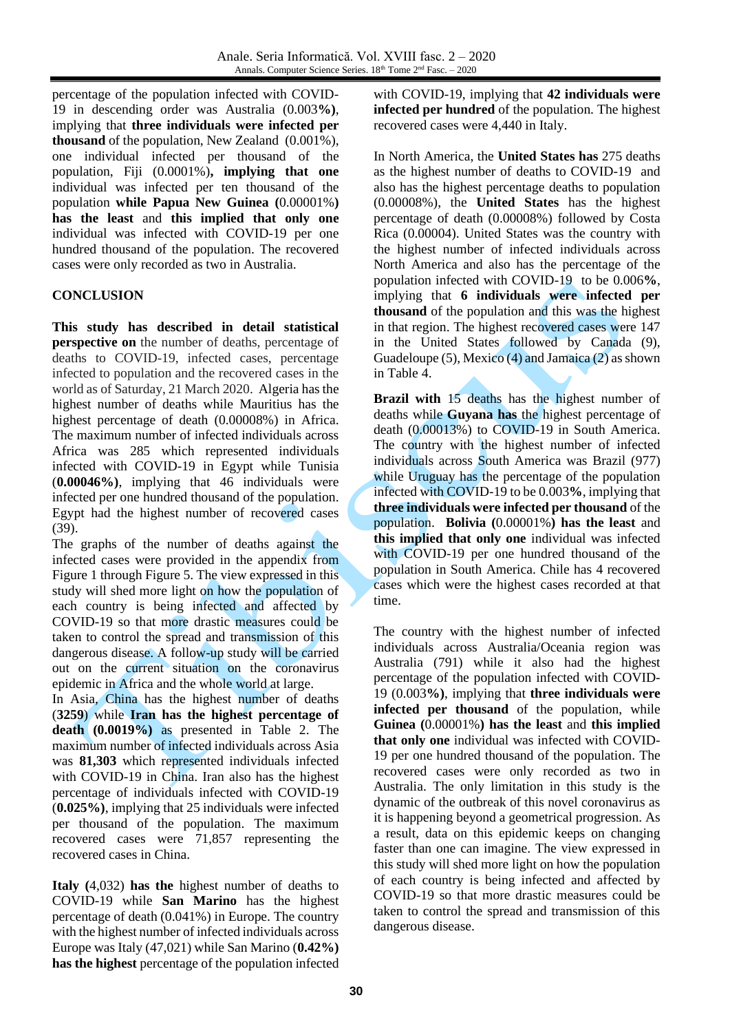percentage of the population infected with COVID-19 in descending order was Australia (0.003**%)**, implying that **three individuals were infected per thousand** of the population, New Zealand (0.001%), one individual infected per thousand of the population, Fiji (0.0001%)**, implying that one** individual was infected per ten thousand of the population **while Papua New Guinea (**0.00001%**) has the least** and **this implied that only one**  individual was infected with COVID-19 per one hundred thousand of the population. The recovered cases were only recorded as two in Australia.

### **CONCLUSION**

**This study has described in detail statistical perspective on** the number of deaths, percentage of deaths to COVID-19, infected cases, percentage infected to population and the recovered cases in the world as of Saturday, 21 March 2020. Algeria has the highest number of deaths while Mauritius has the highest percentage of death (0.00008%) in Africa. The maximum number of infected individuals across Africa was 285 which represented individuals infected with COVID-19 in Egypt while Tunisia (**0.00046%)**, implying that 46 individuals were infected per one hundred thousand of the population. Egypt had the highest number of recovered cases (39).

The graphs of the number of deaths against the infected cases were provided in the appendix from Figure 1 through Figure 5. The view expressed in this study will shed more light on how the population of each country is being infected and affected by COVID-19 so that more drastic measures could be taken to control the spread and transmission of this dangerous disease. A follow-up study will be carried out on the current situation on the coronavirus epidemic in Africa and the whole world at large.

In Asia, China has the highest number of deaths (**3259**) while **Iran has the highest percentage of death (0.0019%)** as presented in Table 2. The maximum number of infected individuals across Asia was **81,303** which represented individuals infected with COVID-19 in China. Iran also has the highest percentage of individuals infected with COVID-19 (**0.025%)**, implying that 25 individuals were infected per thousand of the population. The maximum recovered cases were 71,857 representing the recovered cases in China.

**Italy (**4,032) **has the** highest number of deaths to COVID-19 while **San Marino** has the highest percentage of death (0.041%) in Europe. The country with the highest number of infected individuals across Europe was Italy (47,021) while San Marino (**0.42%) has the highest** percentage of the population infected

with COVID-19, implying that **42 individuals were infected per hundred** of the population. The highest recovered cases were 4,440 in Italy.

In North America, the **United States has** 275 deaths as the highest number of deaths to COVID-19 and also has the highest percentage deaths to population (0.00008%), the **United States** has the highest percentage of death (0.00008%) followed by Costa Rica (0.00004). United States was the country with the highest number of infected individuals across North America and also has the percentage of the population infected with COVID-19 to be 0.006**%**, implying that **6 individuals were infected per thousand** of the population and this was the highest in that region. The highest recovered cases were 147 in the United States followed by Canada (9), Guadeloupe (5), Mexico (4) and Jamaica (2) as shown in Table 4.

**Brazil with** 15 deaths has the highest number of deaths while **Guyana has** the highest percentage of death (0.00013%) to COVID-19 in South America. The country with the highest number of infected individuals across South America was Brazil (977) while Uruguay has the percentage of the population infected with COVID-19 to be 0.003**%**, implying that **three individuals were infected per thousand** of the population. **Bolivia (**0.00001%**) has the least** and **this implied that only one** individual was infected with COVID-19 per one hundred thousand of the population in South America. Chile has 4 recovered cases which were the highest cases recorded at that time.

The country with the highest number of infected individuals across Australia/Oceania region was Australia (791) while it also had the highest percentage of the population infected with COVID-19 (0.003**%)**, implying that **three individuals were infected per thousand** of the population, while **Guinea (**0.00001%**) has the least** and **this implied that only one** individual was infected with COVID-19 per one hundred thousand of the population. The recovered cases were only recorded as two in Australia. The only limitation in this study is the dynamic of the outbreak of this novel coronavirus as it is happening beyond a geometrical progression. As a result, data on this epidemic keeps on changing faster than one can imagine. The view expressed in this study will shed more light on how the population of each country is being infected and affected by COVID-19 so that more drastic measures could be taken to control the spread and transmission of this dangerous disease.